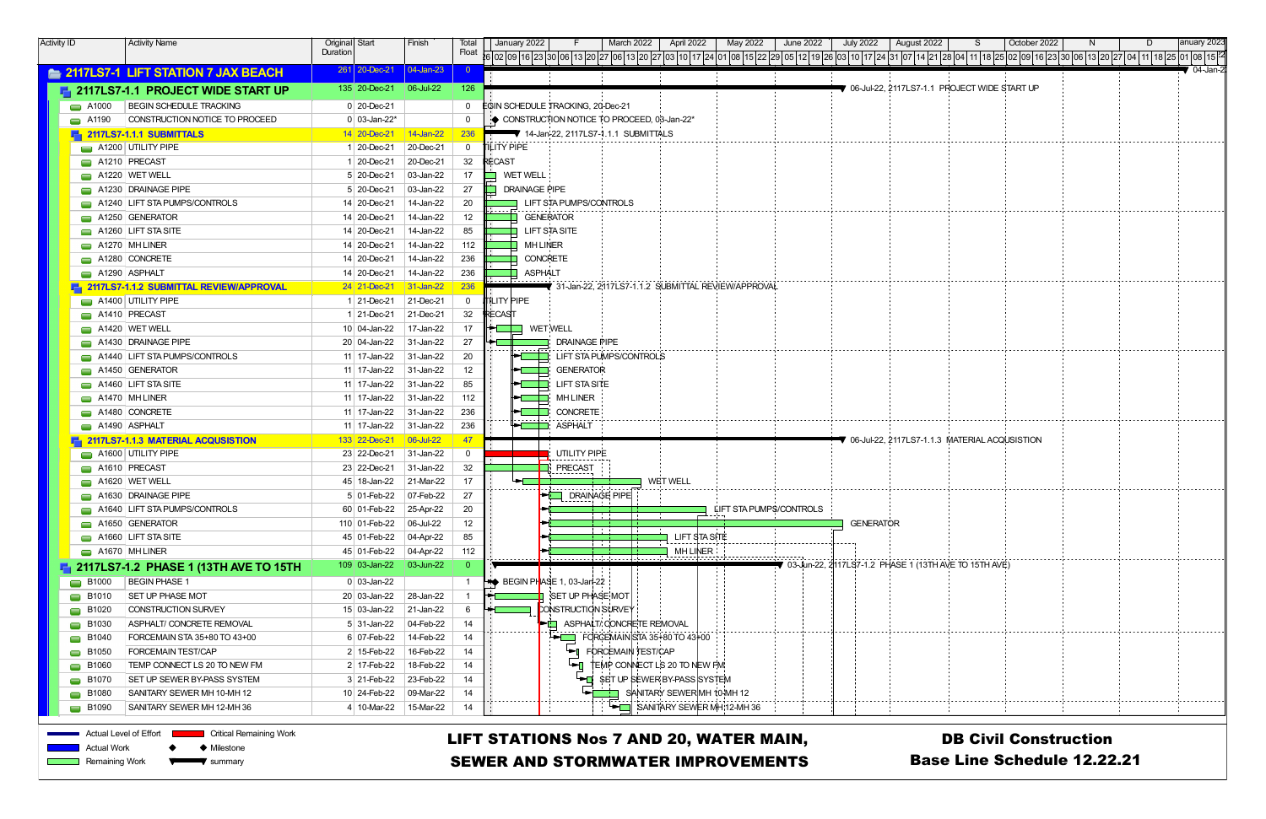| <b>Activity ID</b> |                                              | <b>Activity Name</b>                             | Original Start                | Finish             | Total            | anuary 2023<br>April 2022<br>May 2022<br>June 2022<br><b>July 2022</b><br>October 2022<br>January 2022<br>March 2022<br>August 2022 |
|--------------------|----------------------------------------------|--------------------------------------------------|-------------------------------|--------------------|------------------|-------------------------------------------------------------------------------------------------------------------------------------|
|                    |                                              |                                                  | Duration                      |                    | Float            |                                                                                                                                     |
|                    |                                              | <b>E. 2117LS7-1 LIFT STATION 7 JAX BEACH</b>     | $261$   20-Dec-21   04-Jan-23 |                    |                  | $\sqrt{04}$ -Jan-2                                                                                                                  |
|                    |                                              | <b>E.</b> 2117LS7-1.1 PROJECT WIDE START UP      | 135 20-Dec-21                 | $\big  06$ -Jul-22 | 126              | $\blacktriangledown$ 06-Jul-22, 2117LS7-1.1 PROJECT WIDE START UP                                                                   |
|                    | $\blacksquare$ A1000                         | <b>BEGIN SCHEDULE TRACKING</b>                   | $0$ 20-Dec-21                 |                    | $\mathbf{0}$     | <b>EGIN SCHEDULE TRACKING, 20-Dec-21</b>                                                                                            |
|                    | $\blacksquare$ A1190                         | CONSTRUCTION NOTICE TO PROCEED                   | $0 03$ -Jan-22*               |                    | $\mathbf 0$      | ONSTRUCTION NOTICE TO PROCEED, 03-Jan-22*                                                                                           |
|                    |                                              | $\blacksquare$ 2117LS7-1.1.1 SUBMITTALS          | 14 20-Dec-21                  | 14-Jan-22          | <b>236</b>       | 14-Jan-22, 2117LS7-1.1.1 SUBMITTALS                                                                                                 |
|                    |                                              | $\Box$ A1200 UTILITY PIPE                        | 1 20-Dec-21                   | 20-Dec-21          | $\mathbf 0$      | <b>TILITY PIPE</b>                                                                                                                  |
|                    | $\Box$ A1210 PRECAST                         |                                                  | 1 20-Dec-21                   | 20-Dec-21          | 32               | RECAST                                                                                                                              |
|                    |                                              | $\Box$ A1220 WET WELL                            | 5 20-Dec-21                   | 03-Jan-22          | 17               | <b>WET WELL</b>                                                                                                                     |
|                    |                                              | $\Box$ A1230 DRAINAGE PIPE                       | 5 20-Dec-21                   | 03-Jan-22          | 27               | <b>DRAINAGE PIPE</b>                                                                                                                |
|                    |                                              | A1240 LIFT STA PUMPS/CONTROLS                    | 14 20-Dec-21                  | 14-Jan-22          | 20               | LIFT STA PUMPS/CONTROLS                                                                                                             |
|                    |                                              | $\Box$ A1250 GENERATOR                           | 14 20-Dec-21                  | 14-Jan-22          | 12 <sup>12</sup> | <b>GENERATOR</b>                                                                                                                    |
|                    |                                              | $\Box$ A1260 LIFT STA SITE                       | 14 20-Dec-21                  | 14-Jan-22          | 85               | LIFT STA SITE                                                                                                                       |
|                    | $\Box$ A1270 MH LINER                        |                                                  | 14 20-Dec-21                  | 14-Jan-22          | 112              | <b>MH LINER</b>                                                                                                                     |
|                    |                                              | $\Box$ A1280 CONCRETE                            | 14 20-Dec-21                  | 14-Jan-22          | 236              | <b>CONCRETE</b>                                                                                                                     |
|                    | $\Box$ A1290 ASPHALT                         |                                                  | 14 20-Dec-21                  | 14-Jan-22          | 236              | ASPHALT                                                                                                                             |
|                    |                                              | <b>F</b> 2117LS7-1.1.2 SUBMITTAL REVIEW/APPROVAL | 24 21-Dec-21                  | 31-Jan-22          | <b>236</b>       | ▼ 31-Jan-22. 2117LS7-1.1.2 SUBMITTAL REVIEW/APPROVAL                                                                                |
|                    |                                              | $\Box$ A1400 UTILITY PIPE                        | 121-Dec-21                    | 21-Dec-21          | $\mathbf 0$      | ILITY PIPE                                                                                                                          |
|                    | A1410 PRECAST                                |                                                  | 1 21-Dec-21                   | 21-Dec-21          | 32               | <b>IRECAST</b>                                                                                                                      |
|                    |                                              | $\Box$ A1420 WET WELL                            | 10 04-Jan-22                  | 17-Jan-22          | 17               | WETWELL                                                                                                                             |
|                    |                                              | $\Box$ A1430 DRAINAGE PIPE                       | 20 04-Jan-22                  | 31-Jan-22          | 27               | <b>DRAINAGE PIPE</b>                                                                                                                |
|                    |                                              | A1440 LIFT STA PUMPS/CONTROLS                    | 11 17-Jan-22                  | 31-Jan-22          | 20               | <b>LIFT STA PUMPS/CONTROLS</b>                                                                                                      |
|                    |                                              | $\Box$ A1450 GENERATOR                           | 11   17-Jan-22                | 31-Jan-22          | 12               | <b>GENERATOR</b><br>Tan ing Kabupatèn Bag                                                                                           |
|                    |                                              | $\Box$ A1460 LIFT STA SITE                       | 11 17-Jan-22                  | 31-Jan-22          | 85               | LIFT STA SITE<br>$\mathbf{I}$                                                                                                       |
|                    | $\Box$ A1470 MH LINER                        |                                                  | 11   17-Jan-22                | 31-Jan-22          | 112              | <b>MH LINER</b><br>$\mathbb{R}^n$                                                                                                   |
|                    |                                              | $\Box$ A1480 CONCRETE                            | 11 17-Jan-22                  | 31-Jan-22          | 236              | <b>CONCRETE</b>                                                                                                                     |
|                    | $\Box$ A1490 ASPHALT                         |                                                  | 11   17-Jan-22                | $31$ -Jan-22       | 236              | ASPHALT                                                                                                                             |
|                    |                                              | 2117LS7-1.1.3 MATERIAL ACQUSISTION               | 133 22-Dec-21                 | $ 06$ -Jul-22      | 47               | $\blacktriangledown$ 06-Jul-22. 2117LS7-1.1.3 $\,$ MATERIAL ACQUSISTION                                                             |
|                    |                                              | A1600 UTILITY PIPE                               | 23 22-Dec-21                  | 31-Jan-22          | $\mathbf 0$      | UTILITY PIPE<br>.                                                                                                                   |
|                    | $\Box$ A1610 PRECAST                         |                                                  | 23 22-Dec-21                  | $31$ -Jan-22       | 32               | <b>FRECAST</b><br>.                                                                                                                 |
|                    |                                              | $\blacksquare$ A1620   WET WELL                  | 45   18-Jan-22                | 21-Mar-22          | 17               | <b>WET WELL</b>                                                                                                                     |
|                    |                                              | $\Box$ A1630 DRAINAGE PIPE                       | $5 01-Feb-22 07-Feb-22$       |                    | 27               | <b>EN DRAINAGE PIPE</b><br>1-------- <sub>1</sub>                                                                                   |
|                    |                                              | A1640 LIFT STA PUMPS/CONTROLS                    | 60 01-Feb-22                  | 25-Apr-22          | 20               | LIFT STA PUMPS/CONTROLS                                                                                                             |
|                    |                                              | $\Box$ A1650 GENERATOR                           | 110 01-Feb-22                 | 06-Jul-22          | 12               | <b>GENERATOR</b><br><b><i><u>A</u></i></b>                                                                                          |
|                    |                                              | $\Box$ A1660 LIFT STA SITE                       | 45 01-Feb-22                  | $ 04 - Apr-22 $    | 85               | LIFT STA SITE                                                                                                                       |
|                    |                                              | $\Box$ A1670 MH LINER                            | 45 01-Feb-22                  | $04$ -Apr-22       | 112              | <b>MH LINER</b>                                                                                                                     |
|                    |                                              | 2117LS7-1.2 PHASE 1 (13TH AVE TO 15TH            | $109$ 03-Jan-22               | 03-Jun-22          |                  | 7 03-Jun-22, 2∣117LS7-1.2 PHASE 1 (13TH AVE TO 15TH AVE)                                                                            |
|                    | $\blacksquare$ B1000                         | <b>BEGIN PHASE 1</b>                             | $0 03$ -Jan-22                |                    |                  | $\blacktriangleright\blacktriangleright$ BEGIN PHASE 1, 03-Jan-22                                                                   |
|                    | $\Box$ B1010                                 | <b>SET UP PHASE MOT</b>                          | 20 03-Jan-22                  | 28-Jan-22          |                  | SET UP PHASE MOT                                                                                                                    |
|                    | $\blacksquare$ B1020                         | CONSTRUCTION SURVEY                              | $15 03$ -Jan-22               | 21-Jan-22          | 6                | CONSTRUCTION SURVEY                                                                                                                 |
|                    | $\blacksquare$ B1030                         | ASPHALT/ CONCRETE REMOVAL                        | 5 31-Jan-22                   | 04-Feb-22          | 14               | ASPHALT/ CONCRETE REMOVAL                                                                                                           |
|                    | $\blacksquare$ B1040                         | FORCEMAIN STA 35+80 TO 43+00                     | $6 07-Feb-22$                 | 14-Feb-22          | 14               | FORCEMAIN STA 35+80 TO 43+00<br>$\blacksquare$                                                                                      |
|                    | $\blacksquare$ B1050                         | FORCEMAIN TEST/CAP                               | 2 15-Feb-22                   | 16-Feb-22          | 14               | FORCEMAIN TEST/CAP<br>╺╼                                                                                                            |
|                    | $\blacksquare$ B1060                         | TEMP CONNECT LS 20 TO NEW FM                     | 2 17-Feb-22                   | 18-Feb-22          | 14               | TEMP CONNECT LS 20 TO NEW FM                                                                                                        |
|                    | $\Box$ B1070                                 | <b>SET UP SEWER BY-PASS SYSTEM</b>               | 3 21-Feb-22                   | 23-Feb-22          | 14               | $\overline{\phantom{a}}$ SET UP SEWER BY-PASS SYSTEM                                                                                |
|                    | $\blacksquare$ B1080                         | SANITARY SEWER MH 10-MH 12                       | 10 24-Feb-22                  | 09-Mar-22          | 14               | SANITARY SEWER MH 10-MH 12                                                                                                          |
|                    | $\Box$ B1090                                 | SANITARY SEWER MH 12-MH 36                       | 4 10-Mar-22                   | 15-Mar-22          | 14               | SANITARY SEWER MH:12-MH 36                                                                                                          |
|                    | Actual Level of Effort<br><b>Actual Work</b> | <b>Critical Remaining Work</b><br>♦ Milestone    |                               |                    |                  | LIFT STATIONS Nos 7 AND 20, WATER MAIN,<br><b>DB Civil Construction</b>                                                             |
|                    | <b>Remaining Work</b>                        | summary                                          |                               |                    |                  | <b>Base Line Schedule 12.22.21</b><br><b>SEWER AND STORMWATER IMPROVEMENTS</b>                                                      |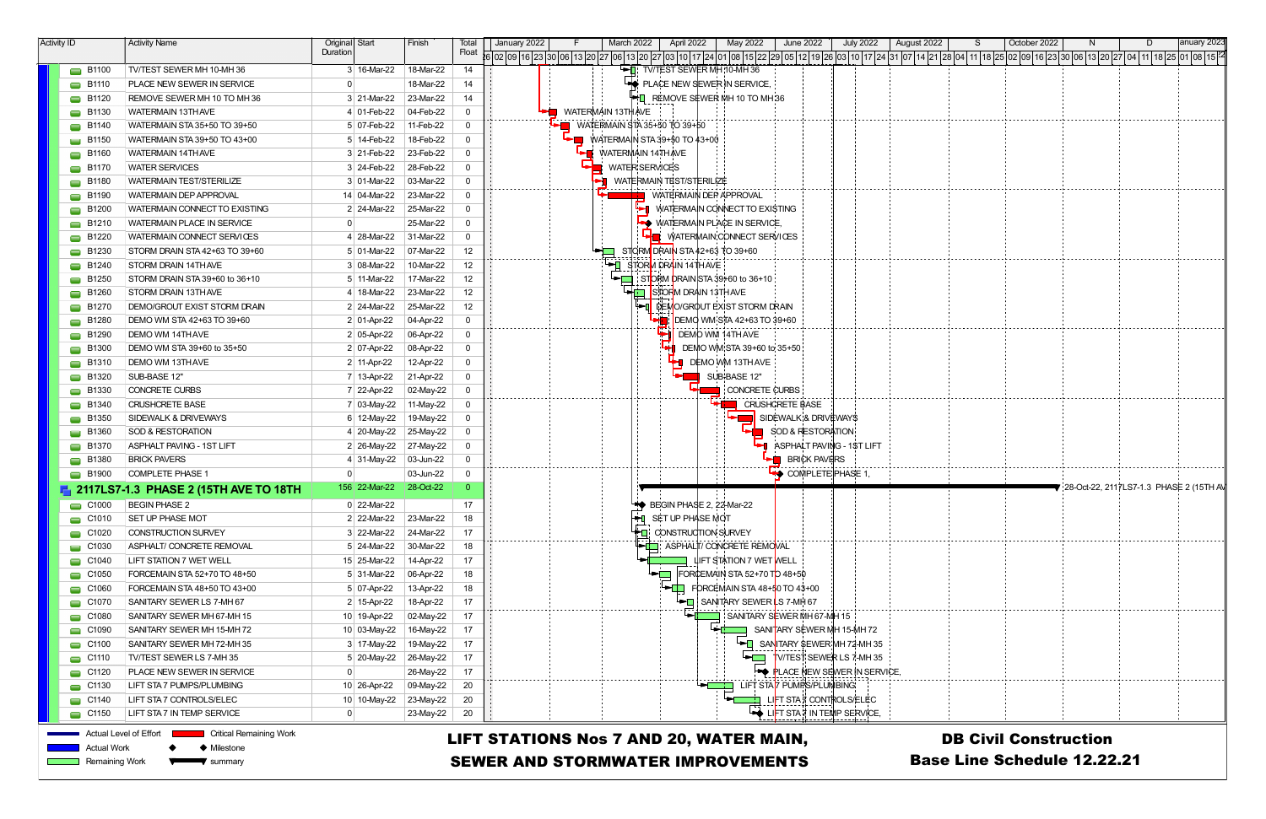| <b>Activity ID</b> |                        | <b>Activity Name</b>                  | Original Start                | Finish    | Iotal | January 2022                                                                                    | March 2022                   | May 2022<br>April 2022            | <b>June 2022</b>                  | <b>July 2022</b> | August 2022 | October 2022                                           |                                                              | anuary 2023 |
|--------------------|------------------------|---------------------------------------|-------------------------------|-----------|-------|-------------------------------------------------------------------------------------------------|------------------------------|-----------------------------------|-----------------------------------|------------------|-------------|--------------------------------------------------------|--------------------------------------------------------------|-------------|
|                    |                        |                                       | Duration                      |           | Float | 02 09 16 23 30 06 13 20 27 06 13 20 27 03 10 17 24 01 08 15 22 29 05 12 19 28 03 10 17 24 31 07 |                              |                                   |                                   |                  |             | 14  21  28  04   11   18   25   02   09   16   23   30 | 06 13 20 27 04 11 18 25 01 08 15 24                          |             |
|                    | $\blacksquare$ B1100   | TV/TEST SEWER MH 10-MH 36             | 3 16-Mar-22                   | 18-Mar-22 | 14    |                                                                                                 |                              | TV/TEST SEWER MH 10-MH 36         |                                   |                  |             |                                                        |                                                              |             |
|                    | $\Box$ B1110           | PLACE NEW SEWER IN SERVICE            |                               | 18-Mar-22 | 14    |                                                                                                 |                              | PLACE NEW SEWER IN SERVICE,       |                                   |                  |             |                                                        |                                                              |             |
|                    | $\Box$ B1120           | REMOVE SEWER MH 10 TO MH 36           | 3 21-Mar-22                   | 23-Mar-22 | 14    |                                                                                                 |                              | REMOVE SEWER MH 10 TO MH 36       |                                   |                  |             |                                                        |                                                              |             |
|                    | $\Box$ B1130           | <b>WATERMAIN 13TH AVE</b>             | 4 01-Feb-22                   | 04-Feb-22 |       | WATERMAIN 13TH AVE                                                                              |                              |                                   |                                   |                  |             |                                                        |                                                              |             |
|                    | $\Box$ B1140           | WATERMAIN STA 35+50 TO 39+50          | 5 07-Feb-22                   | 11-Feb-22 |       |                                                                                                 | WATERMAIN STA 35+50 TO 39+50 |                                   |                                   |                  |             |                                                        |                                                              |             |
|                    | $\Box$ B1150           | WATERMAIN STA 39+50 TO 43+00          | 5 14-Feb-22                   | 18-Feb-22 |       |                                                                                                 | WATERMAIN STA 39+50 TO 43+00 |                                   |                                   |                  |             |                                                        |                                                              |             |
|                    | $\Box$ B1160           | <b>WATERMAIN 14TH AVE</b>             | 3 21-Feb-22                   | 23-Feb-22 |       |                                                                                                 | <b>WATERMAIN 14THAVE</b>     |                                   |                                   |                  |             |                                                        |                                                              |             |
|                    | $\Box$ B1170           | <b>WATER SERVICES</b>                 | 3 24-Feb-22                   | 28-Feb-22 |       |                                                                                                 | <b>WATER SERVICES</b>        |                                   |                                   |                  |             |                                                        |                                                              |             |
|                    | $\Box$ B1180           | <b>WATERMAIN TEST/STERILIZE</b>       | 3 01-Mar-22                   | 03-Mar-22 |       |                                                                                                 | WATERMAIN TEST/STERILIZE     |                                   |                                   |                  |             |                                                        |                                                              |             |
|                    | $\Box$ B1190           | <b>WATERMAIN DEP APPROVAL</b>         | 14 04-Mar-22                  | 23-Mar-22 |       |                                                                                                 |                              | <b>WATERMAIN DEP APPROVAL</b>     |                                   |                  |             |                                                        |                                                              |             |
|                    | $\Box$ B1200           | WATERMAIN CONNECT TO EXISTING         | 2 24-Mar-22                   | 25-Mar-22 |       |                                                                                                 |                              | WATERMAIN CONNECT TO EXISTING     |                                   |                  |             |                                                        |                                                              |             |
|                    | $\Box$ B1210           | <b>WATERMAIN PLACE IN SERVICE</b>     |                               | 25-Mar-22 | 0     |                                                                                                 |                              | <b>WATERMAIN PLACE IN SERVICE</b> |                                   |                  |             |                                                        |                                                              |             |
|                    | $\Box$ B1220           | WATERMAIN CONNECT SERVICES            | 28-Mar-22                     | 31-Mar-22 |       |                                                                                                 |                              | WATERMAIN CONNECT SERVICES        |                                   |                  |             |                                                        |                                                              |             |
|                    | $\Box$ B1230           | STORM DRAIN STA 42+63 TO 39+60        | 5 01-Mar-22                   | 07-Mar-22 | 12    |                                                                                                 |                              | STORM DRAIN STA 42+63 TO 39+60    |                                   |                  |             |                                                        |                                                              |             |
|                    | $\Box$ B1240           | STORM DRAIN 14THAVE                   | 3 08-Mar-22                   | 10-Mar-22 | 12    |                                                                                                 | STORM DRAIN 14TH AVE         |                                   |                                   |                  |             |                                                        |                                                              |             |
|                    | $\Box$ B1250           | STORM DRAIN STA 39+60 to 36+10        | 5 11-Mar-22                   | 17-Mar-22 | 12    |                                                                                                 |                              | STORM DRAIN STA 39+60 to 36+10    |                                   |                  |             |                                                        |                                                              |             |
|                    | $\Box$ B1260           | STORM DRAIN 13THAVE                   | 4 18-Mar-22                   | 23-Mar-22 | 12    |                                                                                                 |                              | STORM DRAIN 13TH AVE              |                                   |                  |             |                                                        |                                                              |             |
|                    | $\Box$ B1270           | DEMO/GROUT EXIST STORM DRAIN          | 2 24-Mar-22                   | 25-Mar-22 | 12    |                                                                                                 |                              | DEMO/GROUT EXIST STORM DRAIN      |                                   |                  |             |                                                        |                                                              |             |
|                    | $\Box$ B1280           | DEMO WM STA 42+63 TO 39+60            | $2 01-Apr-22$                 | 04-Apr-22 | 0     |                                                                                                 |                              | DEMO WM STA 42+63 TO 39+60        |                                   |                  |             |                                                        |                                                              |             |
|                    | $\Box$ B1290           | DEMO WM 14THAVE                       | $2 05 - Apr - 22 $            | 06-Apr-22 | 0     |                                                                                                 |                              | DEMO WM 14TH AVE                  |                                   |                  |             |                                                        |                                                              |             |
|                    | $\blacksquare$ B1300   | DEMO WM STA 39+60 to 35+50            | $2 07-Apr-22 $                | 08-Apr-22 |       |                                                                                                 |                              | DEMO WM STA 39+60 to 35+50        |                                   |                  |             |                                                        |                                                              |             |
|                    | $\blacksquare$ B1310   | <b>DEMO WM 13THAVE</b>                | 2 11-Apr-22                   | 12-Apr-22 |       |                                                                                                 |                              | DEMO WM 13THAVE                   |                                   |                  |             |                                                        |                                                              |             |
|                    | $\Box$ B1320           | SUB-BASE 12"                          | 7 13-Apr-22                   | 21-Apr-22 |       |                                                                                                 |                              | SUB-BASE 12"                      |                                   |                  |             |                                                        |                                                              |             |
|                    | $\blacksquare$ B1330   | <b>CONCRETE CURBS</b>                 | 7 22-Apr-22                   | 02-May-22 |       |                                                                                                 |                              | CONCRETE CURBS                    |                                   |                  |             |                                                        |                                                              |             |
|                    | $\blacksquare$ B1340   | <b>CRUSHCRETE BASE</b>                | 7 03-May-22                   | 11-May-22 |       |                                                                                                 |                              |                                   | <b>CRUSHCRETE BASE</b>            |                  |             |                                                        |                                                              |             |
|                    | $\blacksquare$ B1350   | SIDEWALK & DRIVEWAYS                  | 6 12-May-22                   | 19-May-22 |       |                                                                                                 |                              |                                   | SIDEWALK¦& DRIVËWAY\$             |                  |             |                                                        |                                                              |             |
|                    | $\Box$ B1360           | SOD & RESTORATION                     | ∣ 20-May-22                   | 25-May-22 |       |                                                                                                 |                              |                                   | SOD & RESTORATION                 |                  |             |                                                        |                                                              |             |
|                    | $\blacksquare$ B1370   | <b>ASPHALT PAVING - 1ST LIFT</b>      | 2 26-May-22                   | 27-May-22 |       |                                                                                                 |                              |                                   | ASPHALT PAVING - 1ST LIFT         |                  |             |                                                        |                                                              |             |
|                    | $\blacksquare$ B1380   | <b>BRICK PAVERS</b>                   | 4 31-May-22 $\vert$ 03-Jun-22 |           |       |                                                                                                 |                              |                                   | <b>BRICK PAVERS</b>               |                  |             |                                                        |                                                              |             |
|                    | $\Box$ B1900           | <b>COMPLETE PHASE 1</b>               |                               | 03-Jun-22 |       |                                                                                                 |                              |                                   | <b>◆ COMPLETE PHASE 1,</b>        |                  |             |                                                        |                                                              |             |
|                    |                        | 2117LS7-1.3 PHASE 2 (15TH AVE TO 18TH | 156 22-Mar-22                 | 28-Oct-22 |       |                                                                                                 |                              |                                   |                                   |                  |             |                                                        | $\blacktriangledown$ 28-Oct-22, 2117LS7-1.3 PHASE 2 (15TH AV |             |
|                    | $\Box$ C1000           | <b>BEGIN PHASE 2</b>                  | 0 22-Mar-22                   |           | 17    |                                                                                                 |                              | BEGIN PHASE 2, 22-Mar-22          |                                   |                  |             |                                                        |                                                              |             |
|                    | $\Box$ C1010           | <b>SET UP PHASE MOT</b>               | 2 22-Mar-22                   | 23-Mar-22 | 18    |                                                                                                 | ┝┝┥                          | SET UP PHASE MOT                  |                                   |                  |             |                                                        |                                                              |             |
|                    | $\Box$ C1020           | <b>CONSTRUCTION SURVEY</b>            | 3 22-Mar-22                   | 24-Mar-22 | 17    |                                                                                                 |                              | CONSTRUCTION SURVEY               |                                   |                  |             |                                                        |                                                              |             |
|                    | $\Box$ C1030           | ASPHALT/ CONCRETE REMOVAL             | 5 24-Mar-22                   | 30-Mar-22 | 18    |                                                                                                 |                              | ASPHALT/ CONCRETE REMOVAL         |                                   |                  |             |                                                        |                                                              |             |
|                    | $\Box$ C1040           | LIFT STATION 7 WET WELL               | 15 25-Mar-22                  | 14-Apr-22 | 17    |                                                                                                 |                              | <b>LIFT STATION 7 WET WELL</b>    |                                   |                  |             |                                                        |                                                              |             |
|                    | $\Box$ C1050           | FORCEMAIN STA 52+70 TO 48+50          | $5 \mid 31$ -Mar-22           | 06-Apr-22 | 18    |                                                                                                 | - 1                          | FORCEMAIN STA 52+70 TD 48+50      |                                   |                  |             |                                                        |                                                              |             |
|                    | $\Box$ C1060           | FORCEMAIN STA 48+50 TO 43+00          | 5 07-Apr-22                   | 13-Apr-22 | 18    |                                                                                                 |                              | FORCEMAIN STA $48+50$ TO $43+00$  |                                   |                  |             |                                                        |                                                              |             |
|                    | $\Box$ C1070           | SANITARY SEWER LS 7-MH 67             | 2 15-Apr-22                   | 18-Apr-22 | 17    |                                                                                                 |                              | ו ⊓⊷<br>SANITARY SEWER S 7-MH 67  |                                   |                  |             |                                                        |                                                              |             |
|                    | $\Box$ C1080           | SANITARY SEWER MH 67-MH 15            | 10 19-Apr-22                  | 02-May-22 | 17    |                                                                                                 |                              |                                   | SANITARY SEWER MH 67-MH 15        |                  |             |                                                        |                                                              |             |
|                    | $\Box$ C1090           | SANITARY SEWER MH 15-MH 72            | 10 03-May-22                  | 16-May-22 | 17    |                                                                                                 |                              | ∸⊤                                | SANITARY SEWER MH 15-MH 72        |                  |             |                                                        |                                                              |             |
|                    | $\Box$ C1100           | SANITARY SEWER MH 72-MH 35            | 3 17-May-22                   | 19-May-22 | 17    |                                                                                                 |                              |                                   | SANITARY SEWER MH 72-MH 35        |                  |             |                                                        |                                                              |             |
|                    | $\Box$ C1110           | TV/TEST SEWER LS 7-MH 35              | 5 20-May-22                   | 26-May-22 | 17    |                                                                                                 |                              |                                   | V/TEST SEWER LS 7-MH 35           |                  |             |                                                        |                                                              |             |
|                    | $\Box$ C1120           | PLACE NEW SEWER IN SERVICE            |                               | 26-May-22 | 17    |                                                                                                 |                              |                                   | <b>PLACE NEW SEWER IN SERVICE</b> |                  |             |                                                        |                                                              |             |
|                    | $\Box$ C1130           | LIFT STA 7 PUMPS/PLUMBING             | 10 26-Apr-22                  | 09-May-22 | 20    |                                                                                                 |                              |                                   | LIFT STAT PUMPS/PLUMBING          |                  |             |                                                        |                                                              |             |
|                    | $\Box$ C1140           | LIFT STA 7 CONTROLS/ELEC              | 10 10-May-22                  | 23-May-22 | 20    |                                                                                                 |                              |                                   | LIFT STA 7 CONTROLS/ELEC          |                  |             |                                                        |                                                              |             |
|                    | $\Box$ C1150           | LIFT STA 7 IN TEMP SERVICE            | $\Omega$                      | 23-May-22 | 20    |                                                                                                 |                              |                                   | → LIFT STA * IN TEMP SERVICE,     |                  |             |                                                        |                                                              |             |
|                    |                        |                                       |                               |           |       |                                                                                                 |                              |                                   |                                   |                  |             |                                                        |                                                              |             |
|                    | Actual Level of Effort | <b>Critical Remaining Work</b>        |                               |           |       | <b>LIFT STATIONS Nos 7 AND 20, WATER MAIN,</b>                                                  |                              |                                   |                                   |                  |             | <b>DB Civil Construction</b>                           |                                                              |             |
|                    | Actual Work            | ♦ Milestone                           |                               |           |       |                                                                                                 |                              |                                   |                                   |                  |             | <b>Base Line Schedule 12.22.21</b>                     |                                                              |             |
|                    | Remaining Work         | summary                               |                               |           |       | <b>SEWER AND STORMWATER IMPROVEMENTS</b>                                                        |                              |                                   |                                   |                  |             |                                                        |                                                              |             |
|                    |                        |                                       |                               |           |       |                                                                                                 |                              |                                   |                                   |                  |             |                                                        |                                                              |             |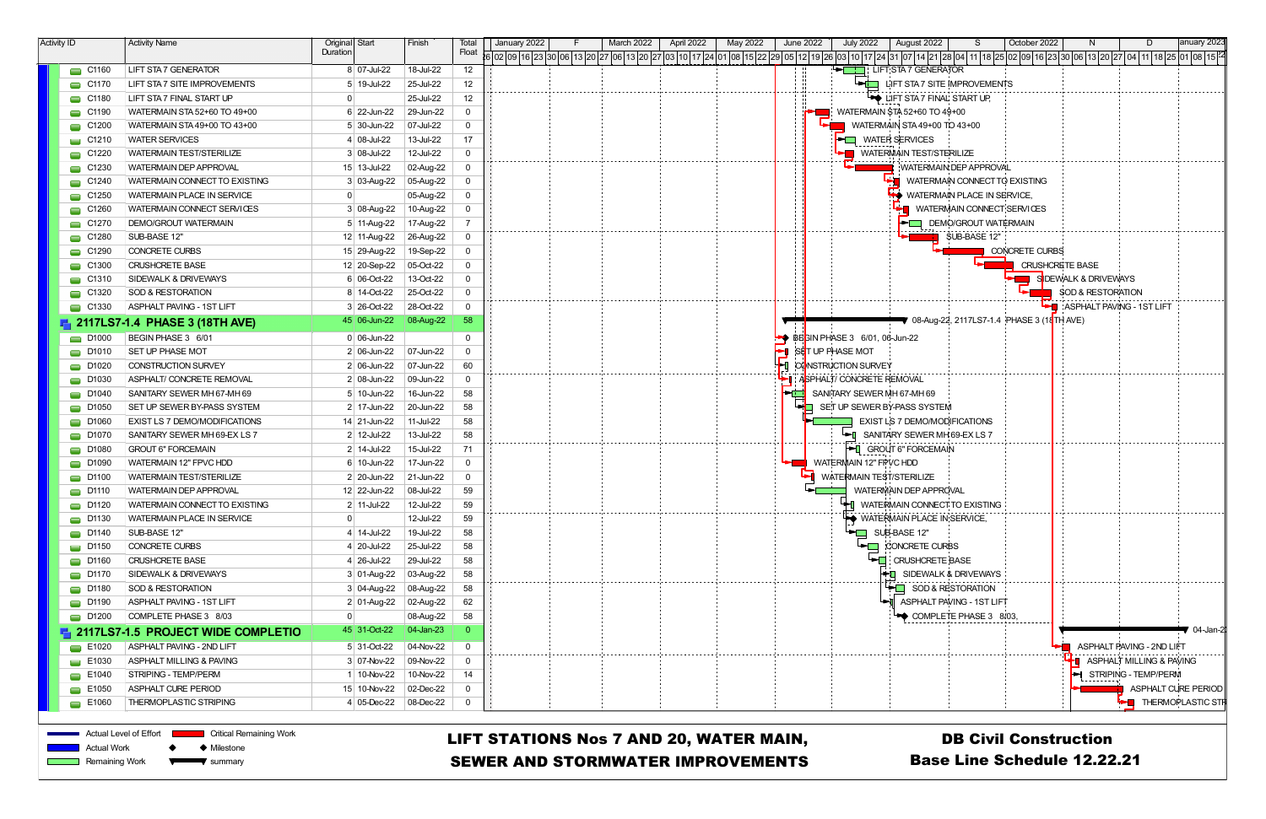| <b>Activity ID</b>   | <b>Activity Name</b>                        | Original Start    | Finish            | Iotal        | January 2022      | March 2022<br>April 2022 | May 2022 | June 2022 | <b>July 2022</b>              | August 2022                                               |                           | October 2022          |                              |                              | anuary 2023         |
|----------------------|---------------------------------------------|-------------------|-------------------|--------------|-------------------|--------------------------|----------|-----------|-------------------------------|-----------------------------------------------------------|---------------------------|-----------------------|------------------------------|------------------------------|---------------------|
|                      |                                             | Duration          |                   | Float        | 02 09 16 23 30 06 |                          |          |           |                               |                                                           |                           |                       |                              |                              |                     |
| $\Box$ C1160         | <b>LIFT STA 7 GENERATOR</b>                 | 8 07-Jul-22       | 18-Jul-22         | 12           |                   |                          |          | - 8       |                               | LIFT STA 7 GENERATOR                                      |                           |                       |                              |                              |                     |
| $\Box$ C1170         | LIFT STA 7 SITE IMPROVEMENTS                | 5 19-Jul-22       | 25-Jul-22         | 12           |                   |                          |          |           | $\leftarrow$ in $\Box$        | LIFT STA 7 SITE IMPROVEMENTS                              |                           |                       |                              |                              |                     |
| $\Box$ C1180         | LIFT STA 7 FINAL START UP                   |                   | 25-Jul-22         | 12           |                   |                          |          |           |                               | <b>WE LIFT STA 7 FINAL START UP,</b>                      |                           |                       |                              |                              |                     |
| $\Box$ C1190         | WATERMAIN STA 52+60 TO 49+00                | 6 22-Jun-22       | 29-Jun-22         | $\mathbf 0$  |                   |                          |          |           |                               | WATERMAIN \$TA 52+60 TO 49+00                             |                           |                       |                              |                              |                     |
| $\Box$ C1200         | WATERMAIN STA 49+00 TO 43+00                | 5 30-Jun-22       | $ 07 -$ Jul-22    | $\Omega$     |                   |                          |          |           |                               | WATERMAIN STA 49+00 TO 43+00                              |                           |                       |                              |                              |                     |
| $\Box$ C1210         | <b>WATER SERVICES</b>                       | 4 08-Jul-22       | 13-Jul-22         | 17           |                   |                          |          |           | <b>PU WATER SERVICES</b>      |                                                           |                           |                       |                              |                              |                     |
| $\Box$ C1220         | <b>WATERMAIN TEST/STERILIZE</b>             | 3 08-Jul-22       | 12-Jul-22         | $\Omega$     |                   |                          |          |           |                               | <b>THE WATERMAIN TEST/STERILIZE</b>                       |                           |                       |                              |                              |                     |
| $\Box$ C1230         | <b>WATERMAIN DEP APPROVAL</b>               | 15 13-Jul-22      | 02-Aug-22         | $\mathbf{0}$ |                   |                          |          |           |                               | WATERMAIN DEP APPROVAL                                    |                           |                       |                              |                              |                     |
| $\Box$ C1240         | WATERMAIN CONNECT TO EXISTING               | $3 03$ -Aug-22    | 05-Aug-22         | 0            |                   |                          |          |           |                               | WATERMAIN CONNECT TO EXISTING                             |                           |                       |                              |                              |                     |
| $\Box$ C1250         | WATERMAIN PLACE IN SERVICE                  |                   | 05-Aug-22         | 0            |                   |                          |          |           |                               | WATERMAIN PLACE IN SERVICE,                               |                           |                       |                              |                              |                     |
| $\Box$ C1260         | WATERMAIN CONNECT SERVICES                  | 3 08-Aug-22       | 10-Aug-22         | 0            |                   |                          |          |           |                               | WATERMAIN CONNECT SERVICES                                |                           |                       |                              |                              |                     |
| $\Box$ C1270         | <b>DEMO/GROUT WATERMAIN</b>                 | 5 11-Aug-22       | 17-Aug-22         |              |                   |                          |          |           |                               | <b>EXAMPLE DEMO/GROUT WATERMAIN</b>                       |                           |                       |                              |                              |                     |
| $\Box$ C1280         | SUB-BASE 12"                                | 12 11-Aug-22      | 26-Aug-22         | $\Omega$     |                   |                          |          |           |                               |                                                           | SUB-BASE 12"              |                       |                              |                              |                     |
| $\Box$ C1290         | <b>CONCRETE CURBS</b>                       | 15 29-Aug-22      | 19-Sep-22         | $\Omega$     |                   |                          |          |           |                               |                                                           |                           | <b>CONCRETE CURBS</b> |                              |                              |                     |
| $\Box$ C1300         | <b>CRUSHCRETE BASE</b>                      | 12 20-Sep-22      | 05-Oct-22         | $\Omega$     |                   |                          |          |           |                               |                                                           |                           |                       | <b>CRUSHCRETE BASE</b>       |                              |                     |
| $\Box$ C1310         | SIDEWALK & DRIVEWAYS                        | 6 06-Oct-22       | 13-Oct-22         | $\Omega$     |                   |                          |          |           |                               |                                                           |                           |                       | SIDEWALK & DRIVEWAYS         |                              |                     |
| $\Box$ C1320         | SOD & RESTORATION                           | 8 14-Oct-22       | 25-Oct-22         | $\Omega$     |                   |                          |          |           |                               |                                                           |                           |                       | <b>SOD &amp; RESTORATION</b> |                              |                     |
| $\Box$ C1330         | <b>ASPHALT PAVING - 1ST LIFT</b>            | 3 26-Oct-22       | 28-Oct-22         | $\mathbf 0$  |                   |                          |          |           |                               |                                                           |                           |                       | : ASPHALT PAVING - 1ST LIFT  |                              |                     |
|                      | 2117LS7-1.4 PHASE 3 (18TH AVE)              | 45 06-Jun-22      | 08-Aug-22         | 58           |                   |                          |          |           |                               | ▼ 08-Aug-22, 2117LS7-1.4 PHASE 3 (18 <mark>TH AVE)</mark> |                           |                       |                              |                              |                     |
| $\Box$ D1000         | BEGIN PHASE 3 6/01                          | $0 06$ -Jun-22    |                   | 0            |                   |                          |          |           | BECIN PHASE 3 6/01, 06-Jun-22 |                                                           |                           |                       |                              |                              |                     |
| $\Box$ D1010         | SET UP PHASE MOT                            | $2 06 - Jun-22$   | $ 07$ -Jun-22     | $\mathbf{0}$ |                   |                          |          |           | SET UP PHASE MOT              |                                                           |                           |                       |                              |                              |                     |
| $\Box$ D1020         | CONSTRUCTION SURVEY                         | 2 06-Jun-22       | 07-Jun-22         | 60           |                   |                          |          |           | <b>CONSTRUCTION SURVEY</b>    |                                                           |                           |                       |                              |                              |                     |
| $\Box$ D1030         | ASPHALT/ CONCRETE REMOVAL                   | $2 08 - Jun - 22$ | 09-Jun-22         | $\mathbf 0$  |                   |                          |          |           | ASPHALT/CONCRETE REMOVAL      |                                                           |                           |                       |                              |                              |                     |
| $\Box$ D1040         | SANITARY SEWER MH 67-MH 69                  | $5$ 10-Jun-22     | 16-Jun-22         | 58           |                   |                          |          |           | SANITARY SEWER MH 67-MH 69    |                                                           |                           |                       |                              |                              |                     |
| $\Box$ D1050         | SET UP SEWER BY-PASS SYSTEM                 | $2$ 17-Jun-22     | 20-Jun-22         | 58           |                   |                          |          |           |                               | <b>HO</b> SET UP SEWER BY-PASS SYSTEM                     |                           |                       |                              |                              |                     |
| $\Box$ D1060         | EXIST LS 7 DEMO/MODIFICATIONS               | 14 21-Jun-22      | 11-Jul-22         | 58           |                   |                          |          |           |                               | <b>EXIST LS 7 DEMO/MODIFICATIONS</b>                      |                           |                       |                              |                              |                     |
| $\Box$ D1070         | SANITARY SEWER MH 69-EX LS 7                | 2 12-Jul-22       | 13-Jul-22         | 58           |                   |                          |          |           |                               | SANITARY SEWER MH 69-EX LS 7                              |                           |                       |                              |                              |                     |
| $\Box$ D1080         | <b>GROUT 6" FORCEMAIN</b>                   | 2 14-Jul-22       | 15-Jul-22         | 71           |                   |                          |          |           |                               | <b>FI</b> GROUT 6" FORCEMAIN                              |                           |                       |                              |                              |                     |
| $\Box$ D1090         | <b>WATERMAIN 12" FPVC HDD</b>               | 6 10-Jun-22       | 17-Jun-22         | $\mathbf{0}$ |                   |                          |          |           | <b>WATERMAIN 12" FPVC HDD</b> |                                                           |                           |                       |                              |                              |                     |
| $\Box$ D1100         | <b>WATERMAIN TEST/STERILIZE</b>             | 2 20-Jun-22       | 21-Jun-22         | $\Omega$     |                   |                          |          |           | WATERMAIN TEST/STERILIZE      |                                                           |                           |                       |                              |                              |                     |
| $\Box$ D1110         | <b>WATERMAIN DEP APPROVAL</b>               | $12$ 22-Jun-22    | 08-Jul-22         | 59           |                   |                          |          |           |                               | WATERMAIN DEP APPROVAL                                    |                           |                       |                              |                              |                     |
| $\Box$ D1120         | WATERMAIN CONNECT TO EXISTING               | 2 11-Jul-22       | 12-Jul-22         | 59           |                   |                          |          |           |                               | LATI WATERMAIN CONNECT TO EXISTING                        |                           |                       |                              |                              |                     |
| $\Box$ D1130         | <b>WATERMAIN PLACE IN SERVICE</b>           |                   | 12-Jul-22         | 59           |                   |                          |          |           |                               | WATERMAIN PLACE IN SERVICE                                |                           |                       |                              |                              |                     |
| $\Box$ D1140         | SUB-BASE 12"                                | 4 14-Jul-22       | 19-Jul-22         | 58           |                   |                          |          |           |                               | SUB-BASE 12"                                              |                           |                       |                              |                              |                     |
| $\Box$ D1150         | CONCRETE CURBS                              | $4 20 -$ Jul-22   | 25-Jul-22         | 58           |                   |                          |          |           | ►⊡                            | <b>CONCRETE CURBS</b>                                     |                           |                       |                              |                              |                     |
| $\Box$ D1160         | <b>CRUSHCRETE BASE</b>                      | $4 26$ -Jul-22    | 29-Jul-22         | 58           |                   |                          |          |           | भा                            | <b>CRUSHCRETE BASE</b>                                    |                           |                       |                              |                              |                     |
| $\Box$ D1170         | SIDEWALK & DRIVEWAYS                        | 3 01-Aug-22       | $\vert$ 03-Aug-22 | 58           |                   |                          |          |           |                               | SIDEWALK & DRIVEWAYS<br>÷П                                |                           |                       |                              |                              |                     |
| $\Box$ D1180         | SOD & RESTORATION                           | 3 04-Aug-22       | 08-Aug-22         | 58           |                   |                          |          |           |                               | SOD & RESTORATION                                         |                           |                       |                              |                              |                     |
| $\Box$ D1190         | <b>ASPHALT PAVING - 1ST LIFT</b>            | 2 01-Aug-22       | 02-Aug-22         | 62           |                   |                          |          |           |                               | ASPHALT PAVING - 1ST LIFT                                 |                           |                       |                              |                              |                     |
| $\Box$ D1200         | COMPLETE PHASE 3 8/03                       |                   | 08-Aug-22         | 58           |                   |                          |          |           |                               | COMPLETE PHASE 3 8/03,                                    | ------------------------- |                       |                              |                              |                     |
|                      | <b>4 2117LS7-1.5 PROJECT WIDE COMPLETIO</b> | 45 31-Oct-22      | $ 04$ -Jan-23     | $\Omega$     |                   |                          |          |           |                               |                                                           |                           |                       |                              |                              | ั 04-Jan-2          |
| $\equiv$ E1020       | <b>ASPHALT PAVING - 2ND LIFT</b>            | 5 31-Oct-22       | 04-Nov-22         | -0           |                   |                          |          |           |                               |                                                           |                           |                       |                              | ASPHALT PAVING - 2ND LIFT    |                     |
| $\equiv$ E1030       | ASPHALT MILLING & PAVING                    | 3 07-Nov-22       | 09-Nov-22         | 0            |                   |                          |          |           |                               |                                                           |                           |                       |                              | ASPHALT MILLING & PAVING     |                     |
| $\equiv$ E1040       | STRIPING - TEMP/PERM                        | 1 10-Nov-22       | 10-Nov-22         | 14           |                   |                          |          |           |                               |                                                           |                           |                       |                              | STRIPING - TEMP/PERM         |                     |
| $\equiv$ E1050       | ASPHALT CURE PERIOD                         | 15 10-Nov-22      | 02-Dec-22         | $\mathbf{0}$ |                   |                          |          |           |                               |                                                           |                           |                       |                              |                              | ASPHALT CURE PERIOD |
| $\blacksquare$ E1060 | THERMOPLASTIC STRIPING                      | 4 05-Dec-22       | $ 08$ -Dec-22     | $\Omega$     |                   |                          |          |           |                               |                                                           |                           |                       |                              | <b>FEI</b> THERMOPLASTIC STR |                     |
|                      |                                             |                   |                   |              |                   |                          |          |           |                               |                                                           |                           |                       |                              |                              |                     |



Actual Level of Effort

Actual Work

**Critical Remaining Work** 

◆ Milestone

## LIFT STATIONS Nos 7 AND 20, WATER MAIN, SEWER AND STORMWATER IMPROVEMENTS

 $\blacklozenge$ **Election** Remaining Work summary